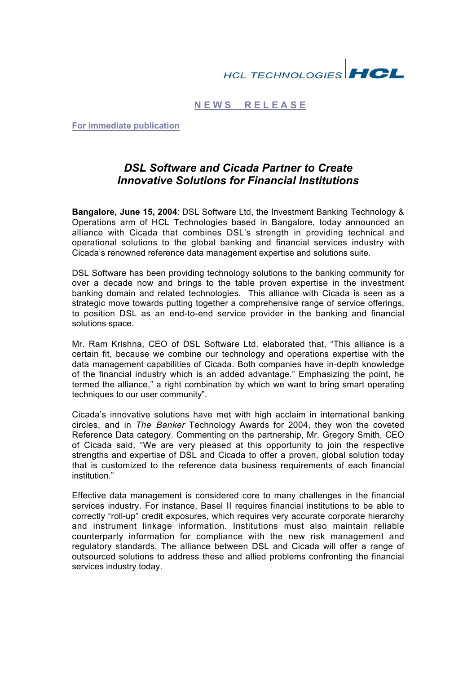# **HCL TECHNOLOGIES HCL**

### **N E W S R E L E A S E**

**For immediate publication**

## *DSL Software and Cicada Partner to Create Innovative Solutions for Financial Institutions*

**Bangalore, June 15, 2004**: DSL Software Ltd, the Investment Banking Technology & Operations arm of HCL Technologies based in Bangalore, today announced an alliance with Cicada that combines DSL's strength in providing technical and operational solutions to the global banking and financial services industry with Cicada's renowned reference data management expertise and solutions suite.

DSL Software has been providing technology solutions to the banking community for over a decade now and brings to the table proven expertise in the investment banking domain and related technologies. This alliance with Cicada is seen as a strategic move towards putting together a comprehensive range of service offerings, to position DSL as an end-to-end service provider in the banking and financial solutions space.

Mr. Ram Krishna, CEO of DSL Software Ltd. elaborated that, "This alliance is a certain fit, because we combine our technology and operations expertise with the data management capabilities of Cicada. Both companies have in-depth knowledge of the financial industry which is an added advantage." Emphasizing the point, he termed the alliance," a right combination by which we want to bring smart operating techniques to our user community".

Cicada's innovative solutions have met with high acclaim in international banking circles, and in *The Banker* Technology Awards for 2004, they won the coveted Reference Data category. Commenting on the partnership, Mr. Gregory Smith, CEO of Cicada said, "We are very pleased at this opportunity to join the respective strengths and expertise of DSL and Cicada to offer a proven, global solution today that is customized to the reference data business requirements of each financial institution."

Effective data management is considered core to many challenges in the financial services industry. For instance, Basel II requires financial institutions to be able to correctly "roll-up" credit exposures, which requires very accurate corporate hierarchy and instrument linkage information. Institutions must also maintain reliable counterparty information for compliance with the new risk management and regulatory standards. The alliance between DSL and Cicada will offer a range of outsourced solutions to address these and allied problems confronting the financial services industry today.